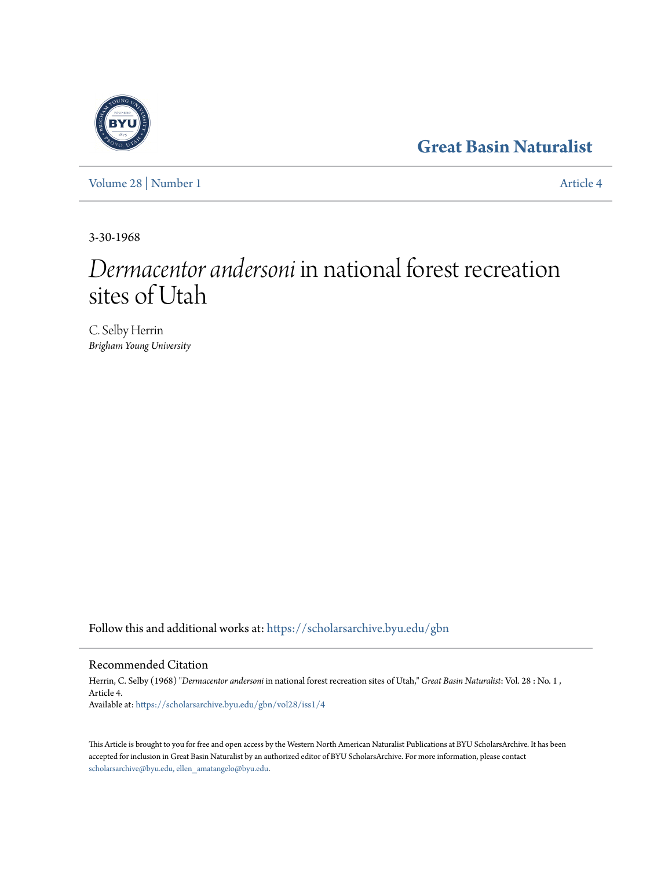## **[Great Basin Naturalist](https://scholarsarchive.byu.edu/gbn?utm_source=scholarsarchive.byu.edu%2Fgbn%2Fvol28%2Fiss1%2F4&utm_medium=PDF&utm_campaign=PDFCoverPages)**

[Volume 28](https://scholarsarchive.byu.edu/gbn/vol28?utm_source=scholarsarchive.byu.edu%2Fgbn%2Fvol28%2Fiss1%2F4&utm_medium=PDF&utm_campaign=PDFCoverPages) | [Number 1](https://scholarsarchive.byu.edu/gbn/vol28/iss1?utm_source=scholarsarchive.byu.edu%2Fgbn%2Fvol28%2Fiss1%2F4&utm_medium=PDF&utm_campaign=PDFCoverPages) [Article 4](https://scholarsarchive.byu.edu/gbn/vol28/iss1/4?utm_source=scholarsarchive.byu.edu%2Fgbn%2Fvol28%2Fiss1%2F4&utm_medium=PDF&utm_campaign=PDFCoverPages)

3-30-1968

# *Dermacentor andersoni* in national forest recreation sites of Utah

C. Selby Herrin *Brigham Young University*

Follow this and additional works at: [https://scholarsarchive.byu.edu/gbn](https://scholarsarchive.byu.edu/gbn?utm_source=scholarsarchive.byu.edu%2Fgbn%2Fvol28%2Fiss1%2F4&utm_medium=PDF&utm_campaign=PDFCoverPages)

## Recommended Citation

Herrin, C. Selby (1968) "*Dermacentor andersoni* in national forest recreation sites of Utah," *Great Basin Naturalist*: Vol. 28 : No. 1 , Article 4. Available at: [https://scholarsarchive.byu.edu/gbn/vol28/iss1/4](https://scholarsarchive.byu.edu/gbn/vol28/iss1/4?utm_source=scholarsarchive.byu.edu%2Fgbn%2Fvol28%2Fiss1%2F4&utm_medium=PDF&utm_campaign=PDFCoverPages)

This Article is brought to you for free and open access by the Western North American Naturalist Publications at BYU ScholarsArchive. It has been accepted for inclusion in Great Basin Naturalist by an authorized editor of BYU ScholarsArchive. For more information, please contact [scholarsarchive@byu.edu, ellen\\_amatangelo@byu.edu.](mailto:scholarsarchive@byu.edu,%20ellen_amatangelo@byu.edu)

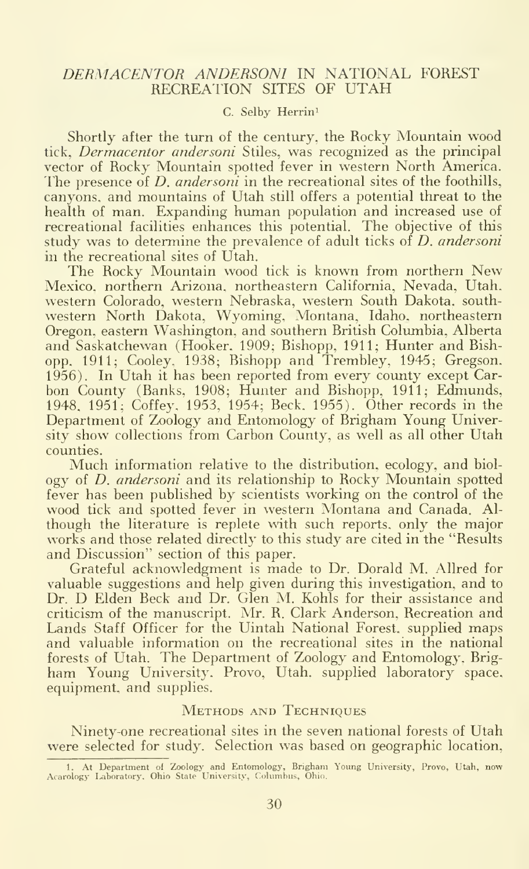### DERMACENTOR ANDERSONI IN NATIONAL FOREST RECREATION SITES OF UTAH

### C. Selby Herrin<sup>1</sup>

Shortly after the turn of the century, the Rocky Mountain wood tick, Dermacentor andersoni Stiles, was recognized as the principal vector of Rocky Mountain spotted fever in western North America. The presence of *D. andersoni* in the recreational sites of the foothills, canyons, and mountains of Utah still offers a potential threat to the health of man. Expanding human population and increased use of recreational facilities enhances this potential. The objective of this study was to determine the prevalence of adult ticks of D. andersoni in the recreational sites of Utah.

The Rocky Mountain wood tick is known from northern New Mexico, northern Arizona, northeastern California, Nevada, Utah, western Colorado, western Nebraska, western South Dakota, southwestern North Dakota, Wyoming, Montana. Idaho, northeastern Oregon, eastern Washington, and southern British Columbia, Alberta and Saskatchewan (Hooker. 1909; Bishopp, 1911; Hunter and Bish opp, 1911; Cooley. 1938; Bishopp and Trembley, 1945; Gregson, 1956). In Utah it has been reported from every county except Carbon County (Banks, 1908; Hunter and Bishopp, 1911; Edmunds, 1948. 1951; Coffey, 1953, 1954; Beck, 1955). Other records in the Department of Zoology and Entomology of Brigham Young University show collections from Carbon County, as well as all other Utah counties.

Much information relative to the distribution, ecology, and biol ogy of *D. andersoni* and its relationship to Rocky Mountain spotted fever has been published by scientists working on the control of the wood tick and spotted fever in western Montana and Canada. Although the literature is replete with such reports, only the major works and those related directly to this study are cited in the "Results and Discussion" section of this paper.

Grateful acknowledgment is made to Dr. Dorald M. Allred for valuable suggestions and help given during this investigation, and to Dr. D Elden Beck and Dr. Glen M. Kohls for their assistance and criticism of the manuscript. Mr. R. Clark Anderson, Recreation and Lands Staff Officer for the Uintah National Forest, supphed maps and valuable information on the recreational sites in the national forests of Utah. The Department of Zoology and Entomology, Brigham Young University. Provo, Utah, supplied laboratory space, equipment, and supplies.

#### Methods and Techniques

Ninety-one recreational sites in the seven national forests of Utah were selected for study. Selection was based on geographic location,

<sup>1</sup> . At Department ol Zoology and Entomology, Brigham Young University, Provo, Utah, now Acarologj- laboratory, Ohio State University, Columbus. Ohio.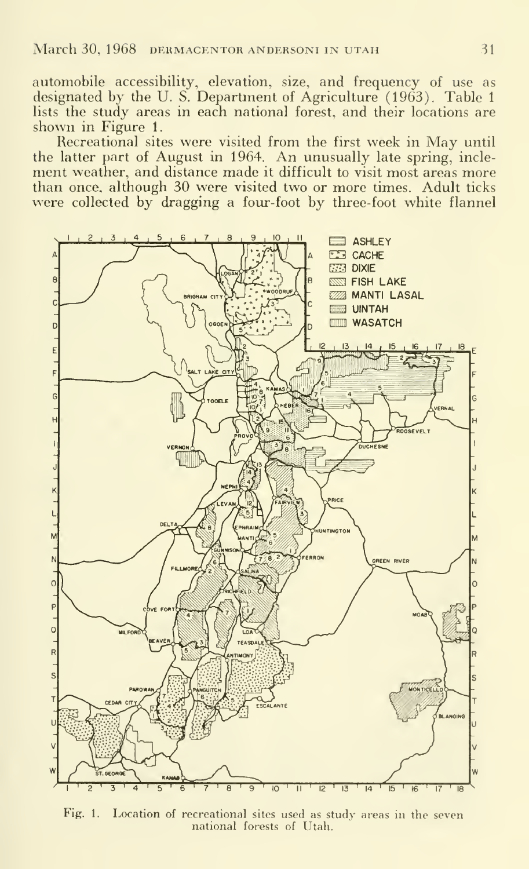automobile accessibility, elevation, size, and frequency of use as designated by the U. S. Department of Agriculture (1963). Table 1 lists the study areas in each national forest, and their locations are shown in Figure 1.

Recreational sites were visited from the first week in May until the latter part of August in 1964. An unusually late spring, incle-<br>ment weather, and distance made it difficult to visit most areas more than once, although 30 were visited two or more times. Adult ticks were collected by dragging a four-foot by three-foot white flannel



Fig. 1. Location of recreational sites used as study areas in the seven national forests of Utah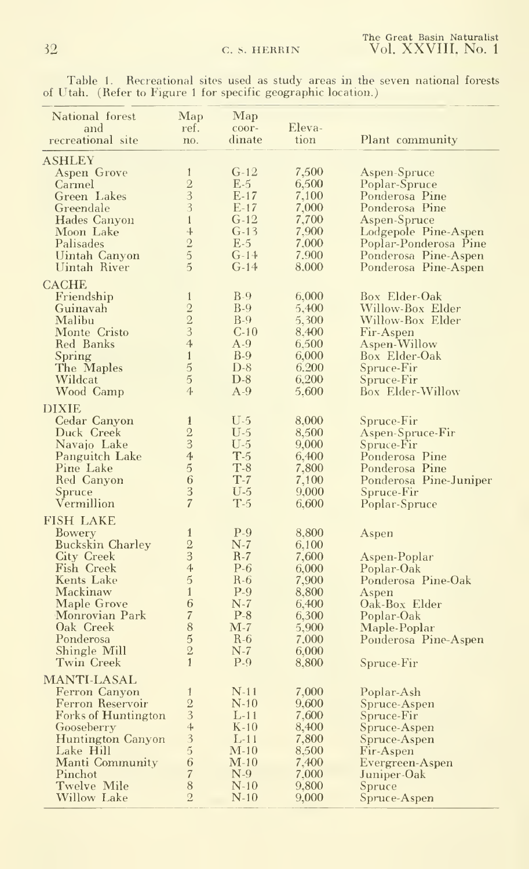|  | Table 1. Recreational sites used as study areas in the seven national forests |  |  |  |  |  |
|--|-------------------------------------------------------------------------------|--|--|--|--|--|
|  | of Utah. (Refer to Figure 1 for specific geographic location.)                |  |  |  |  |  |

| National forest<br>and                 | Map<br>ref.                                | $\mathbf{Map}$<br>coor- | Eleva-         |                                                    |
|----------------------------------------|--------------------------------------------|-------------------------|----------------|----------------------------------------------------|
| recreational site                      | no.                                        | dinate                  | tion           | Plant community                                    |
| ASHLEY                                 |                                            |                         |                |                                                    |
| Aspen Grove                            | $\mathbf{1}$                               | $G-12$                  | 7,500          | Aspen-Spruce                                       |
| Carmel                                 | $\frac{2}{3}$                              | $E-5$                   | 6,500          | Poplar-Spruce                                      |
| Green Lakes                            |                                            | $E-17$                  | 7,100          | Ponderosa Pine                                     |
| Greendale                              | $\overline{3}$<br>$\mathbf{1}$             | $E-17$<br>G-12          | 7,000          | Ponderosa Pine                                     |
| Hades Canyon<br>Moon Lake              | $\ddot{\ddag}$                             | $G-13$                  | 7,700<br>7,900 | Aspen-Spruce<br>Lodgepole Pine-Aspen               |
| Palisades                              |                                            | $E-5$                   | 7,000          | Poplar-Ponderosa Pine                              |
| Uintah Canyon                          | $\frac{2}{5}$                              | $G-14$                  | 7.900          | Ponderosa Pine-Aspen                               |
| Uintah River                           | 5                                          | $G-14$                  | 8,000          | Ponderosa Pine-Aspen                               |
| <b>CACHE</b>                           |                                            |                         |                |                                                    |
| Friendship                             | $\mathbf{1}$                               | $B-9$                   | 6,000          | Box Elder-Oak                                      |
| Guinavah                               | $\frac{2}{3}$                              | $B-9$                   | 5,400          | Willow-Box Elder                                   |
| Malibu                                 |                                            | $B-9$                   | 5,300          | Willow-Box Elder                                   |
| Monte Cristo                           | $\overline{4}$                             | $C-10$<br>$A-9$         | 8,400          | Fir-Aspen                                          |
| Red Banks<br>Spring                    | $\,1\,$                                    | $B-9$                   | 6,500<br>6,000 | Aspen-Willow<br>Box Elder-Oak                      |
| The Maples                             | $\overline{5}$                             | $D-8$                   | 6.200          | Spruce-Fir                                         |
| Wildcat                                | $\overline{5}$                             | $D-8$                   | 6,200          | Spruce-Fir                                         |
| Wood Camp                              | $\overline{4}$                             | $A-9$                   | 5,600          | <b>Box Elder-Willow</b>                            |
| <b>DIXIE</b>                           |                                            |                         |                |                                                    |
| Cedar Canyon                           | $\mathbf{1}$                               | $U-5$                   | 8,000          | Spruce-Fir                                         |
| Duck Creek                             | $\overline{2}$                             | U-5                     | 8,500          | Aspen-Spruce-Fir                                   |
| Navajo Lake                            | $\frac{1}{3}$                              | U-5                     | 9,000          | Spruce-Fir                                         |
| Panguitch Lake                         |                                            | $T-5$                   | 6,400          | Ponderosa Pine                                     |
| Pine Lake<br>Red Canyon                | $\frac{5}{6}$                              | $T-8$<br>$T-7$          | 7,800<br>7,100 | Ponderosa Pine                                     |
| Spruce                                 | $\overline{3}$                             | U-5                     | 9,000          | Ponderosa Pine-Juniper<br>$~\rm Spruce\hbox{-}Fir$ |
| Vermillion                             | $\overline{7}$                             | $T-5$                   | 6,600          | Poplar-Spruce                                      |
| <b>FISH LAKE</b>                       |                                            |                         |                |                                                    |
| Bowery                                 | $\mathbf{1}$                               | $P-9$                   | 8,800          | Aspen                                              |
| <b>Buckskin Charley</b>                |                                            | $N-7$                   | 6,100          |                                                    |
| City Creek                             | $\frac{2}{3}$                              | $R-7$                   | 7,600          | Aspen-Poplar                                       |
| Fish Creek                             | $\overline{4}$                             | $P-6$                   | 6,000          | Poplar-Oak                                         |
| Kents Lake                             | 5                                          | $R-6$                   | 7,900          | Ponderosa Pine-Oak                                 |
| Mackinaw                               | $\mathbf{1}$<br>6                          | $P-9$                   | 8,800          | Aspen                                              |
| Maple Grove<br>Monrovian Park          | $\sqrt{7}$                                 | $N-7$<br>$P-8$          | 6,400<br>6,300 | Oak-Box Elder                                      |
| Oak Creek                              | $\bar{8}$                                  | $M-7$                   | 5,900          | Poplar-Oak<br>Maple-Poplar                         |
| Ponderosa                              | $\overline{5}$                             | $R-6$                   | 7,000          | Ponderosa Pine-Aspen                               |
| Shingle Mill                           | $\overline{2}$                             | $N-7$                   | 6,000          |                                                    |
| Twin Creek                             | $\mathbf{1}$                               | $P-9$                   | 8,800          | Spruce-Fir                                         |
| <b>MANTI-LASAL</b>                     |                                            |                         |                |                                                    |
| Ferron Canyon                          | 1                                          | $N-11$                  | 7,000          | Poplar-Ash                                         |
| Ferron Reservoir                       |                                            | $N-10$                  | 9,600          | Spruce-Aspen                                       |
| <b>Forks of Huntington</b>             | $\frac{2}{3}$                              | $L-11$                  | 7,600          | Spruce-Fir                                         |
| Gooseberry<br><b>Huntington Canyon</b> |                                            | $K-10$<br>$L-11$        | 8,400<br>7,800 | Spruce-Aspen<br>Spruce-Aspen                       |
| Lake Hill                              | $\begin{array}{c} 3 \\ 5 \\ 6 \end{array}$ | $\rm M$ -10             | 8,500          | Fir-Aspen                                          |
| Manti Community                        |                                            | $M-10$                  | 7,400          | Evergreen-Aspen                                    |
| Pinchot                                | $\sqrt{7}$                                 | $N-9$                   | 7,000          | Juniper-Oak                                        |
| Twelve Mile                            | 8                                          | $N-10$                  | 9,800          | Spruce                                             |
| <b>Willow Lake</b>                     | $\overline{2}$                             | $N-10$                  | 9,000          | Spruce-Aspen                                       |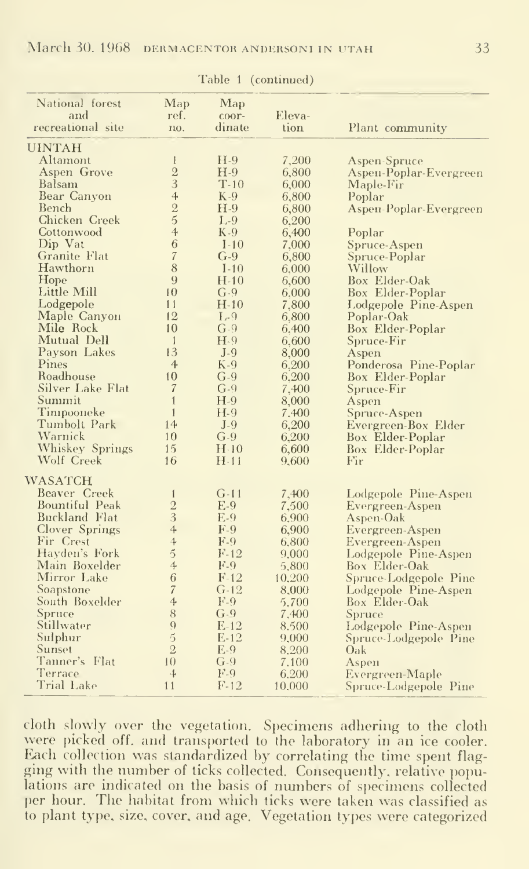| National forest          | Map                      | Map             |                |                        |
|--------------------------|--------------------------|-----------------|----------------|------------------------|
| and<br>recreational site | ref.<br>no.              | coor-<br>dinate | Eleva-<br>tion | Plant community        |
|                          |                          |                 |                |                        |
| <b>UINTAH</b>            |                          |                 |                |                        |
| Altamont                 | $\mathbf{1}$             | $H-9$           | 7,200          | Aspen-Spruce           |
| Aspen Grove              | $\overline{2}$           | $H-9$           | 6,800          | Aspen-Poplar-Evergreen |
| Balsam                   | 3                        | $T-10$          | 6,000          | Maple-Fir              |
| Bear Canyon              | 4                        | $K-9$           | 6,800          | Poplar                 |
| Bench                    | $\frac{2}{5}$            | $H-9$           | 6,800          | Aspen-Poplar-Evergreen |
| Chicken Creek            |                          | $L-9$           | 6,200          |                        |
| Cottonwood               | $\tilde{4}$              | $K-9$           | 6,400          | Poplar                 |
| Dip Vat                  | $\overline{6}$           | $I-10$          | 7,000          | Spruce-Aspen           |
| Granite Flat             | $\overline{\mathcal{U}}$ | $G-9$           | 6,800          | Spruce-Poplar          |
| Hawthorn                 | 8                        | $I-10$          | 6,000          | Willow                 |
| Hope                     | 9                        | $H-10$          | 6,600          | Box Elder-Oak          |
| Little Mill              | 10                       | $G-9$           | 6,000          | Box Elder-Poplar       |
| Lodgepole                | 11                       | $H-10$          | 7,800          | Lodgepole Pine-Aspen   |
| Maple Canyon             | 12                       | $L-9$           | 6,800          | Poplar-Oak             |
| Mile Rock                | 10                       | $G-9$           | 6,400          | Box Elder-Poplar       |
| Mutual Dell              | $\mathbf{1}$             | $H-9$           | 6,600          | Spruce-Fir             |
| Payson Lakes             | 13                       | $J-9$           | 8,000          | Aspen                  |
| Pines                    | $\overline{4}$           | $K-9$           | 6,200          | Ponderosa Pine-Poplar  |
| Roadhouse                | 10                       | $G-9$           | 6,200          | Box Elder-Poplar       |
| Silver Lake Flat         | $\overline{\mathcal{U}}$ | $G-9$           | 7,400          | Spruce-Fir             |
| Summit                   | $\overline{1}$           | $H-9$           | 8,000          | Aspen                  |
| Timpooneke               | $\mathbf{1}$             | $H-9$           | 7,400          | Spruce-Aspen           |
| Tumbolt Park             | 14                       | $J-9$           | 6,200          | Evergreen-Box Elder    |
| Warnick                  | 10                       | $G-9$           | 6,200          | Box Elder-Poplar       |
| Whiskey Springs          | 15                       | H <sub>10</sub> | 6,600          | Box Elder-Poplar       |
| Wolf Creek               | 16                       | $H-11$          | 9.600          | Fir                    |
| <b>WASATCH</b>           |                          |                 |                |                        |
| Beaver Creek             | $\mathbf{1}$             | $G-11$          | 7,400          | Lodgepole Pine-Aspen   |
| Bountiful Peak           | $\frac{2}{3}$            | $E-9$           | 7,500          | Evergreen-Aspen        |
| <b>Buckland Flat</b>     |                          | $E-9$           | 6,900          | Aspen-Oak              |
| Clover Springs           | $\ddot{\phi}$            | $F-9$           | 6,900          | Evergreen-Aspen        |
| Fir Crest                | $\overline{4}$           | $F-9$           | 6,800          | Evergreen-Aspen        |
| Hayden's Fork            | $\overline{5}$           | $F-12$          | 9,000          | Lodgepole Pine-Aspen   |
| Main Boxelder            | 4                        | $F-9$           | 5,800          | Box Elder-Oak          |
| Mirror Lake              | 6                        | $F-12$          | 10,200         | Spruce-Lodgepole Pine  |
| Soapstone                | $\overline{7}$           | $G-12$          | 8,000          | Lodgepole Pine-Aspen   |
| South Boxelder           | 4                        | $F-9$           | 5,700          | Box Elder-Oak          |
| Spruce                   | 8                        | $G-9$           | 7,400          | Spruce                 |
| Stillwater               | $\overline{Q}$           | $E-12$          | 8.500          | Lodgepole Pine-Aspen   |
| Sulphur                  | $\tilde{5}$              | $E-12$          | 9,000          | Spruce-Lodgepole Pine  |
| Sunset                   | $\overline{2}$           | $E-9$           | 8,200          | Oak                    |
| Tanner's Flat            | 10                       | $G-9$           | 7,100          | Aspen                  |
| Terrace                  | $\ddot{\ddag}$           | F.9             | 6,200          | Evergreen-Maple        |
| Trial Lake               | 11                       | $F-12$          | 10,000         | Spruce-Lodgepole Pine  |

Table 1 (continued)

cloth slowly over the vegetation. Specimens adhering to the cloth were picked off, and transported to the laboratory in an ice cooler.<br>Each collection was standardized by correlating the time spent flagging with the number of ticks collected. Consequently, relative populations are indicated on the basis of numbers of specimens collected per hour. The habitat from which ticks were taken was classified as to plant type, size, cover, and age. Vegetation types were categorized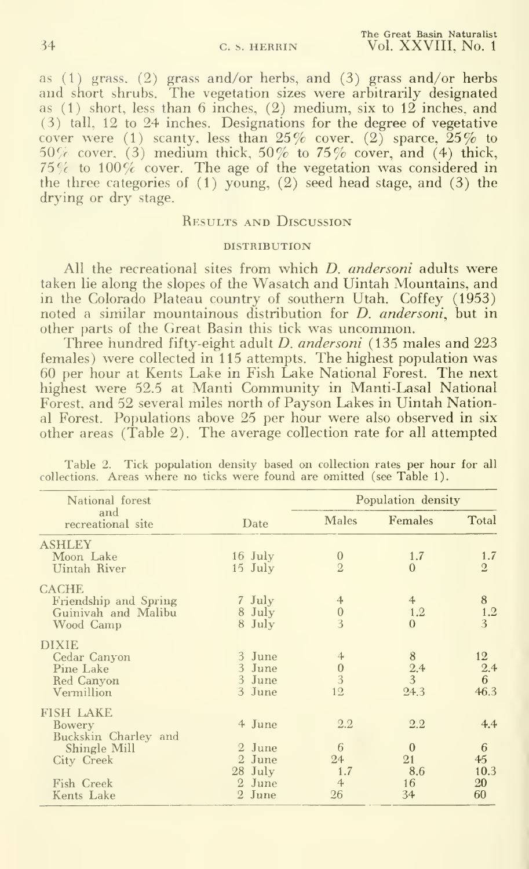as (1) grass, (2) grass and/or herbs, and (3) grass and/or herbs and short shrubs. The vegetation sizes were arbitrarily designated as  $(1)$  short, less than 6 inches,  $(2)$  medium, six to  $12$  inches, and (3) tall, 12 to 24 inches. Designations for the degree of vegetative cover were (1) scanty, less than  $25\%$  cover, (2) sparce,  $25\%$  to  $50\%$  cover, (3) medium thick,  $50\%$  to  $75\%$  cover, and (4) thick,  $75\%$  to  $100\%$  cover. The age of the vegetation was considered in the three categories of  $(1)$  young,  $(2)$  seed head stage, and  $(3)$  the drying or dry stage.

#### Results and Discussion

#### **DISTRIBUTION**

All the recreational sites from which *D. andersoni* adults were taken lie along the slopes of the Wasatch and Uintah Mountains, and in the Colorado Plateau country of southern Utah. Coffey (1953) noted a similar mountainous distribution for *D. andersoni*, but in other parts of the Great Basin this tick was uncommon.

Three hundred fifty-eight adult *D. andersoni* (135 males and 223 females) were collected in 115 attempts. The highest population was 60 per hour at Kents Lake in Fish Lake National Forest. The next highest were 52.5 at Manti Community in Manti-Lasal National Forest, and 52 several miles north of Payson Lakes in Uintah National Forest. Populations above 25 per hour were also observed in six other areas  $(\hat{T}$ able 2). The average collection rate for all attempted

| National forest          |           |                 | Population density |                 |  |  |
|--------------------------|-----------|-----------------|--------------------|-----------------|--|--|
| and<br>recreational site | Date      | Males           | Females            | Total           |  |  |
| <b>ASHLEY</b>            |           |                 |                    |                 |  |  |
| Moon Lake                | $16$ July | $\mathbf{0}$    | 1.7                | 1.7             |  |  |
| Uintah River             | $15$ July | $\overline{2}$  | $\Omega$           | $\overline{2}$  |  |  |
| <b>CACHE</b>             |           |                 |                    |                 |  |  |
| Friendship and Spring    | 7 July    | $\overline{4}$  | $4^{\circ}$        | 8               |  |  |
| Guinivah and Malibu      | 8 July    | $\mathbf{0}$    | 1.2                | $\frac{1.2}{3}$ |  |  |
| Wood Camp                | 8 July    | 3               | $\Omega$           |                 |  |  |
| <b>DIXIE</b>             |           |                 |                    |                 |  |  |
| Cedar Canyon             | 3 June    | $\overline{4}$  | 8                  | 12              |  |  |
| Pine Lake                | 3 June    | $\overline{0}$  | 2.4                | 2.4             |  |  |
| Red Canyon               | 3 June    | 3               | 3                  | 6               |  |  |
| Vermillion               | 3 June    | 12              | 24.3               | 46.3            |  |  |
| <b>FISH LAKE</b>         |           |                 |                    |                 |  |  |
| Bowery                   | 4 June    | 2.2             | 2.2                | 4.4             |  |  |
| Buckskin Charley and     |           |                 |                    |                 |  |  |
| Shingle Mill             | 2 June    | 6               | $\mathbf{0}$       | 6               |  |  |
| City Creek               | 2 June    | 24              | 21                 | 45              |  |  |
|                          | 28 July   | 1.7             | 8.6                | 10.3            |  |  |
| Fish Creek               | 2 June    | $4\overline{ }$ | 16                 | 20              |  |  |
| Kents Lake               | 2 June    | 26              | 34                 | 60              |  |  |

Table 2. Tick population density based on collection rates per hour for all collections. Areas where no ticks were found are omitted (see Table 1).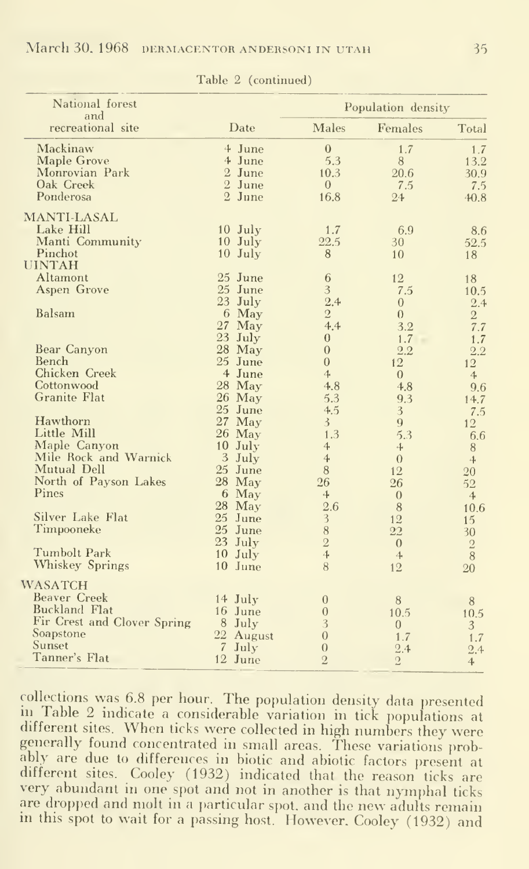| National forest<br>and                |                        | Population density               |                |                     |  |
|---------------------------------------|------------------------|----------------------------------|----------------|---------------------|--|
| recreational site                     | Date                   | <b>Males</b>                     | Females        | Total               |  |
| Mackinaw                              | 4 June                 | $\mathbf{0}$                     | 1.7            | 1.7                 |  |
| <b>Maple Grove</b>                    | 4 June                 | 5.3                              | 8              | 13.2                |  |
| Monrovian Park                        | 2 June                 | 10.3                             | 20.6           | 30.9                |  |
| Oak Creek                             | 2 June                 | $\overline{0}$                   | 7.5            | 7.5                 |  |
| Ponderosa                             | 2 June                 | 16.8                             | 24             | 40.8                |  |
| <b>MANTI-LASAL</b>                    |                        |                                  |                |                     |  |
| Lake Hill                             | $10$ July              | 1.7<br>22.5                      | 6.9            | 8.6                 |  |
| Manti Community<br>Pinchot            | $10$ July<br>$10$ July | 8                                | 30             | 52.5                |  |
| <b>UINTAH</b>                         |                        |                                  | 10             | 18                  |  |
| Altamont                              | 25 June                | 6                                | 12             | 18                  |  |
| Aspen Grove                           | 25 June                | 3                                | 7.5            | 10.5                |  |
|                                       | $23$ July              | 2.4                              | $\overline{0}$ | 2.4                 |  |
| Balsam                                | 6 May                  | $\sqrt{2}$                       | $\theta$       | $\sqrt{2}$          |  |
|                                       | $27$ May               | 4.4                              | 3.2            | 7.7                 |  |
|                                       | 23 July                | $\theta$                         | 1.7            | 1.7                 |  |
| Bear Canyon                           | 28 May                 | $\overline{0}$                   | 2.2            | 2.2                 |  |
| Bench                                 | 25 June                | $\overline{0}$                   | 12             | 12                  |  |
| Chicken Creek                         | 4 June                 | $\ddot{\mathcal{A}}$             | $\overline{0}$ | $\overline{4}$      |  |
| Cottonwood                            | 28 May                 | 4.8                              | 4.8            | 9.6                 |  |
| <b>Granite Flat</b>                   | 26 May                 | 5.3                              | 9.3            | 14.7                |  |
|                                       | 25 June                | 4.5                              | 3              | 7.5                 |  |
| Hawthorn<br>Little Mill               | $27$ May               | $\mathfrak{Z}$                   | 9              | 12                  |  |
|                                       | 26 May                 | 1.3                              | 5.3            | 6.6                 |  |
| Maple Canyon<br>Mile Rock and Warnick | 10 July                | $\overline{4}$<br>$\overline{4}$ | 4              | 8                   |  |
| Mutual Dell                           | 3 July<br>25 June      | $\, 8$                           | $\theta$<br>12 | $\ddot{\textbf{a}}$ |  |
| North of Payson Lakes                 | 28 May                 | 26                               | 26             | 20                  |  |
| Pines                                 | 6 May                  | 4                                | $\overline{0}$ | 52<br>4             |  |
|                                       | 28 May                 | 2.6                              | $\,8\,$        | 10.6                |  |
| Silver Lake Flat                      | 25 June                | 3                                | 12             | 15                  |  |
| Timpooneke                            | 25 June                | $\, 8$                           | 22             | 30                  |  |
|                                       | 23 July                | $\overline{2}$                   | $\overline{0}$ | $\,2$               |  |
| <b>Tumbolt Park</b>                   | $10$ July              | 4                                | $\overline{4}$ | $\, 8$              |  |
| Whiskey Springs                       | 10 June                | 8                                | 12             | 20                  |  |
| <b>WASATCH</b>                        |                        |                                  |                |                     |  |
| <b>Beaver Creek</b>                   | 14 July                | $\mathbf{0}$                     | 8              | 8                   |  |
| <b>Buckland Flat</b>                  | 16 June                | $\overline{0}$                   | 10.5           | 10.5                |  |
| Fir Crest and Clover Spring           | 8 July                 | 3                                | $\overline{0}$ | 3 <sup>1</sup>      |  |
| Soapstone                             | 22 August              | $\overline{0}$                   | 1.7            | 1.7                 |  |
| Sunset                                | $\overline{7}$<br>July | $\boldsymbol{0}$                 | 2.4            | 2.4                 |  |
| Tanner's Flat                         | 12 June                | $\overline{2}$                   | $\overline{2}$ | 4 <sup>1</sup>      |  |

Table 2 (continued)

collections was 6.8 per hour. The population density data presented in Table 2 indicate a considerable variation in tick populations at different sites. When ticks were collected in high numbers they were generally found concentrated in small areas. These variations probably are due to differences in biotic and abiotic factors present at different sites. Cooley (1932) indicated that the reason ticks are very abundant in one spot and not in another is that nymphal ticks are dropped and molt in a particular spot, and the new adults remain in this spot to wait for a passing host. However, Cooley (1932) and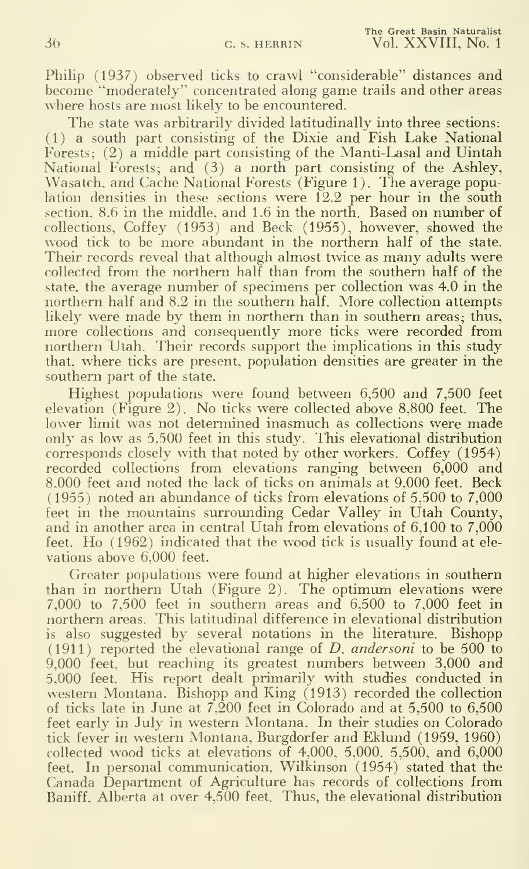Philip (1937) observed ticks to crawl "considerable" distances and become "moderately" concentrated along game trails and other areas where hosts are most likely to be encountered.

The state was arbitrarily divided latitudinally into three sections: (1) a south part consisting of the Dixie and Fish Lake National Forests; (2) a middle part consisting of the Manti-Lasal and Uintah National Forests; and (3) a north part consisting of the Ashley, Wasatch, and Cache National Forests (Figure 1). The average population densities in these sections were  $12.2$  per hour in the south section. 8.6 in the middle, and 1.6 in the north. Based on number of collections, Coffey (1953) and Beck (1955), however, showed the wood tick to be more abundant in the northern half of the state. Their records reveal that although almost twice as many adults were collected from the northern half than from the southern half of the state, the average number of specimens per collection was 4.0 in the northern half and 8.2 in the southern half. More collection attempts likely were made by them in northern than in southern areas; thus, more collections and consequently more ticks were recorded from northern Utah. Their records support the implications in this study that, where ticks are present, population densities are greater in the southern part of the state.

Highest populations were found between 6,500 and 7,500 feet elevation (Figure 2). No ticks were collected above 8,800 feet. The lower limit was not determined inasmuch as collections were made only as low as 5,500 feet in this study. This elevational distribution corresponds closely with that noted by other workers. Coffey (1954) recorded collections from elevations ranging between 6,000 and 8.000 feet and noted the lack of ticks on animals at 9.000 feet. Beck (1955) noted an abundance of ticks from elevations of 5,500 to 7,000 feet in the mountains surrounding Cedar Valley in Utah County, and in another area in central Utah from elevations of  $6,100$  to  $7,000$ feet. Ho (1962) indicated that the wood tick is usually found at ele vations above 6,000 feet.

Greater populations were found at higher elevations in southern than in northern Utah (Figure 2). The optimum elevations were 7,000 to 7,500 feet in southern areas and 6,500 to 7,000 feet in northern areas. This latitudinal difference in elevational distribution is also suggested by several notations in the literature. Bishopp (1911) reported the elevational range of D. andersoni to be  $500$  to 9,000 feet, but reaching its greatest numbers between 3,000 and 5,000 feet. His report dealt primarily with studies conducted in western Montana. Bishopp and King (1913) recorded the collection of ticks late in June at 7.200 feet in Colorado and at 5,500 to 6,500 feet early in July in western Montana. In their studies on Colorado tick fever in western Montana, Burgdorfer and Eklund (1959, 1960) collected wood ticks at elevations of 4,000, 5,000. 5,500, and 6,000 feet. In personal communication, Wilkinson (1954) stated that the Canada Department of Agriculture has records of collections from Baniff, Alberta at over 4,500 feet. Thus, the elevational distribution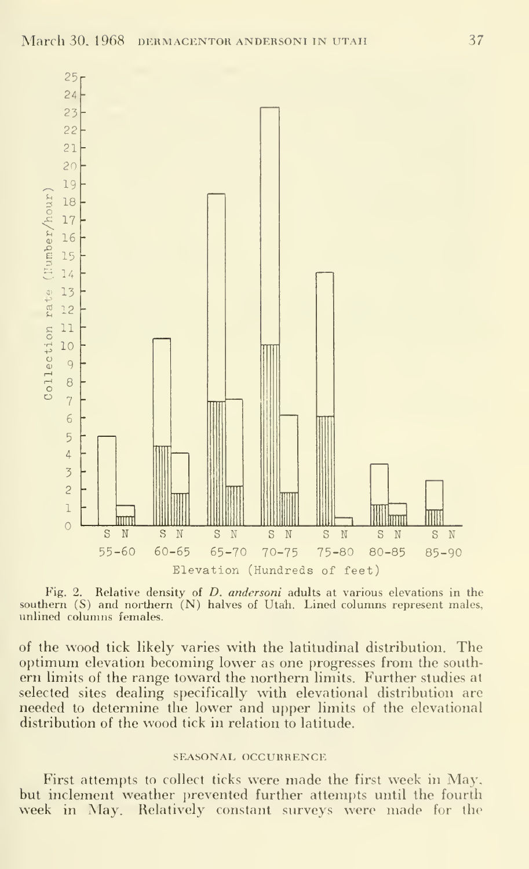

Fig. 2. Relative density of *D. andersoni* adults at various elevations in the southern (S) and northern (N) halves of Utah. Lined columns represent males, unlined columns females.

of the wood tick likely varies with the latitudinal distribution. The optimum elevation becoming lower as one progresses from the southern limits of the range toward the northern limits. Further studies at selected sites dealing specifically with elevational distribution are needed to determine the lower and upper limits of the elevational distribution of the wood tick in relation to latitude.

#### SEASONAL OCCURRENCE

First attempts to collect ticks were made the first week in May, but inclement weather prevented further attempts until the fourth week in May. Relatively constant surveys were made for the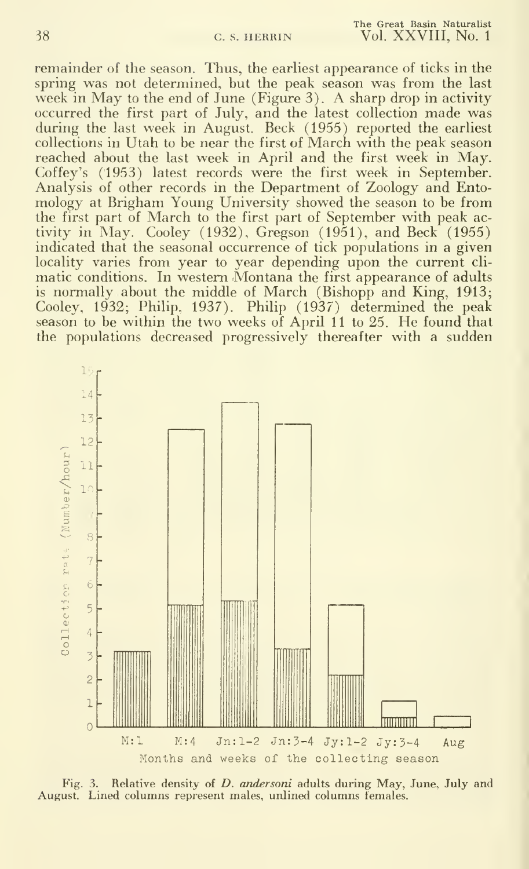remainder of the season. Thus, the earliest appearance of ticks in the spring was not determined, but the peak season was from the last week in May to the end of June (Figure 3). A sharp drop in activity occurred the first part of July, and the latest collection made was during the last week in August. Beck (1955) reported the earliest collections in Utah to be near the first of March with the peak season reached about the last week in April and the first week in May. Coffey's (1953) latest records were the first week in September. Analysis of other records in the Department of Zoology and Entomology at Brigham Young University showed the season to be from the first part of March to the first part of September with peak activity in May. Cooley (1932), Gregson (1951), and Beck (1955) indicated that the seasonal occurrence of tick populations in a given locality varies from year to year depending upon the current cli matic conditions. In western Montana the first appearance of adults is normally about the middle of March (Bishopp and King, 1913; Cooley, 1932; Philip, 1937). Philip (1937) determined the peak season to be within the two weeks of April <sup>11</sup> to 25. He found that the populations decreased progressively thereafter with a sudden



Fig. 3. Relative density of *D. andersoni* adults during May, June, July and August. Lined columns represent males, unlined columns females.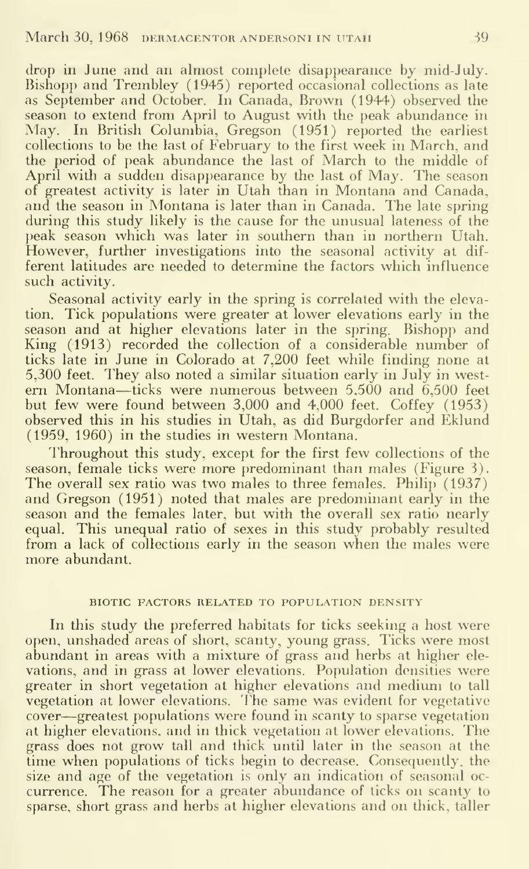drop in June and an almost complete disappearance by mid-July. Bishopp and Trembley (1945) reported occasional collections as late as September and October. In Canada, Brown (1944) observed the season to extend from April to August with the peak abundance in May. In British Columbia, Gregson (1951) reported the earliest collections to be the last of February to the first week in March, and the period of peak abundance the last of March to the middle of April with a sudden disappearance by the last of May. The season of greatest activity is later in Utah than in Montana and Canada, and the season in Montana is later than in Canada. The late spring during this study likely is the cause for the unusual lateness of the peak season which was later in southern than in northern Utah. However, further investigations into the seasonal activity at dif ferent latitudes are needed to determine the factors which influence such activity.

Seasonal activity early in the spring is correlated with the elevation. Tick populations were greater at lower elevations early in the season and at higher elevations later in the spring. Bishopp and King (1913) recorded the collection of a considerable number of ticks late in June in Colorado at 7,200 feet while finding none at 5,300 feet. They also noted a similar situation early in July in western Montana—ticks were numerous between  $5,500$  and  $6,500$  feet but few were found between 3,000 and 4,000 feet. Coffey (1953) observed this in his studies in Utah, as did Burgdorfer and Eklund (1959, 1960) in the studies in western Montana.

Throughout this study, except for the first few collections of the season, female ticks were more predominant than males (Figure 3). The overall sex ratio was two males to three females. Philip (1937) and Gregson (1951) noted that males are predominant early in the season and the females later, but with the overall sex ratio nearly equal. This unequal ratio of sexes in this study probably resulted from a lack of collections early in the season when the males were more abundant.

#### BIOTIC FACTORS RELATED TO POPULATION DENSITY

In this study the preferred habitats for ticks seeking a host were open, unshaded areas of short, scanty, young grass. Ticks were most abundant in areas with a mixture of grass and herbs at higher ele vations, and in grass at lower elevations. Population densities were greater in short vegetation at higher elevations and medium to tall vegetation at lower elevations. The same was evident for vegetative cover—greatest populations were found in scanty to sparse vegetation at higher elevations, and in thick vegetation at lower elevations. The grass does not grow tall and thick until later in the season at the time when populations of ticks begin to decrease. Consequently, the size and age of the vegetation is only an indication of seasonal oc currence. The reason for a greater abundance of ticks on scanty to sparse, short grass and herbs at higher elevations and on thick, taller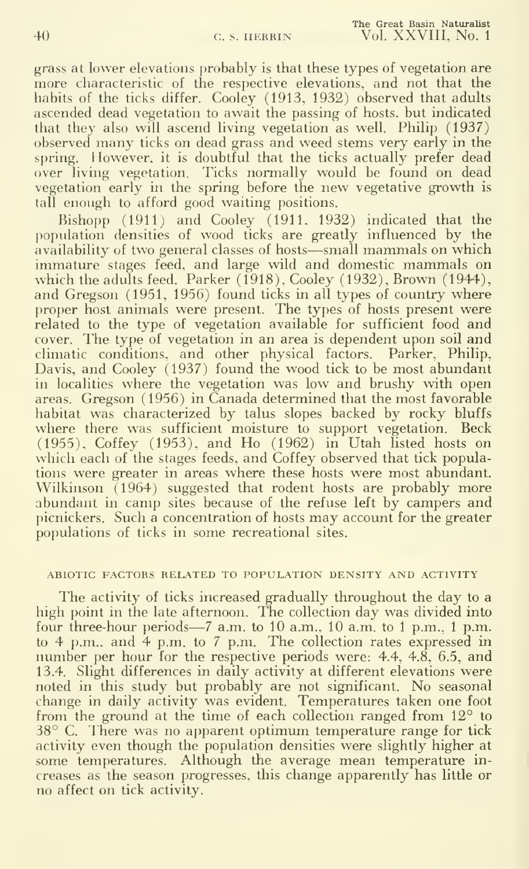grass at lower elevations probably is that these types of vegetation are more characteristic of the respective elevations, and not that the habits of the ticks differ. Cooley (1913, 1932) observed that adults ascended dead vegetation to await the passing of hosts, but indicated that they also will ascend living vegetation as well. Philip (1937) observed many ticks on dead grass and weed stems very early in the spring. However, it is doubtful that the ticks actually prefer dead over living vegetation. Ticks normally would be found on dead vegetation early in the spring before the new vegetative growth is tall enough to afford good waiting positions.

Bishopp (1911) and Cooley (1911, 1932) indicated that the population densities of wood ticks are greatly influenced by the availability of two general classes of hosts—small mammals on which immature stages feed, and large wild and domestic mammals on which the adults feed. Parker (1918), Cooley (1932), Brown (1944), and Gregson (1951, 1956) found ticks in all types of country where proper host animals were present. The types of hosts present were related to the type of vegetation available for sufficient food and cover. The type of vegetation in an area is dependent upon soil and climatic conditions, and other physical factors. Parker, Philip. Davis, and Cooley (1937) found the wood tick to be most abundant in localities where the vegetation was low and brushy with open areas. Gregson (1956) in Canada determined that the most favorable habitat was characterized by talus slopes backed by rocky bluffs where there was sufficient moisture to support vegetation. Beck (1955). Coffey (1953). and Ho (1962) in Utah listed hosts on which each of the stages feeds, and Coffey observed that tick populations were greater in areas where these hosts were most abundant. Wilkinson  $(1964)$  suggested that rodent hosts are probably more abundant in camp sites because of the refuse left by campers and picnickers. Such <sup>a</sup> concentration of hosts may account for the greater populations of ticks in some recreational sites.

#### ABIOTIC FACTORS RELATED TO POPULATION DENSITY AND ACTIVITY

The activity of ticks increased gradually throughout the day to a high point in the late afternoon. The collection day was divided into four three-hour periods—<sup>7</sup> a.m. to <sup>10</sup> a.m., <sup>10</sup> a.m. to <sup>1</sup> p.m., <sup>1</sup> p.m. to 4 p.m., and 4 p.m. to 7 p.m. The collection rates expressed in number per hour for the respective periods were: 4.4, 4.8, 6.5, and 13.4. Slight differences in daily activity at different elevations were noted in this study but probably are not significant. No seasonal change in daily activity was evident. Temperatures taken one foot from the ground at the time of each collection ranged from 12<sup>°</sup> to  $38^{\circ}$  C. There was no apparent optimum temperature range for tick activity even though the population densities were slightly higher at some temperatures. Although the average mean temperature in creases as the season progresses, this change apparently has little or no affect on tick activity.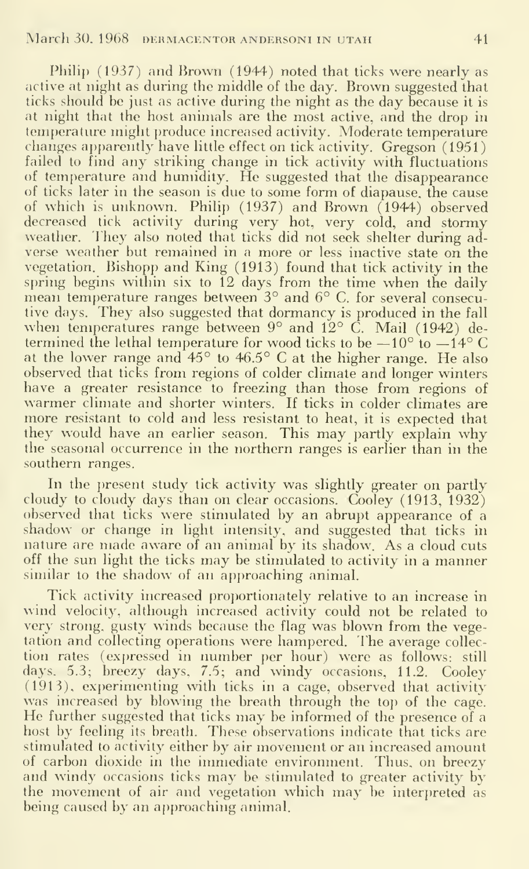Philip (1937) and Brown (1944) noted that ticks were nearly as active at night as during the middle of the day. Brown suggested that ticks should be just as active during the night as the day because it is at night that the host animals are the most active, and the drop in temperature might produce increased activity. Moderate temperature changes apparently have little effect on tick activity. Gregson (1951) failed to find any striking change in tick activity with fluctuations of temperature and humidity. He suggested that the disappearance of ticks later in the season is due to some form of diapause, the cause of which is unknown. Philip (1937) and Brown (1944) observed decreased tick activity during very hot, very cold, and stormy weather. They also noted that ticks did not seek shelter during ad verse weather but remained in <sup>a</sup> more or less inactive state on the vegetation. Bishopp and King (1913) found that tick activity in the spring begins within six to 12 days from the time when the daily mean temperature ranges between 3° and 6° C. for several consecutive days. They also suggested that dormancy is produced in the fall when temperatures range between  $9^{\circ}$  and  $12^{\circ}$  C. Mail (1942) determined the lethal temperature for wood ticks to be  $-10^{\circ}$  to  $-14^{\circ}$  C at the lower range and  $45^{\circ}$  to  $46.5^{\circ}$  C at the higher range. He also observed that ticks from regions of colder climate and longer winters<br>have a greater resistance to freezing than those from regions of warmer climate and shorter winters. If ticks in colder climates are more resistant to cold and less resistant to heat, it is expected that they would have an earlier season. This may partly explain why the seasonal occurrence in the northern ranges is earlier than in the southern ranges.

In the present study tick activity was slightly greater on partly cloudy to cloudy days than on clear occasions. Cooley (1913, 1932) observed that ticks were stimulated by an abrupt appearance of a shadow or change in light intensity, and suggested that ticks in nature are made aware of an animal by its shadow. As <sup>a</sup> cloud cuts off the sun light the ticks may be stimulated to activity in <sup>a</sup> manner similar to the shadow of an approaching animal.

Tick activity increased proportionately relative to an increase in wind velocity, although increased activity could not be related to very strong, gusty winds because the flag was blown from the vegetation and collecting operations were hampered. The average collec tion rates (expressed in number per hour) were as follows: still days. 5.3; breezy days. 7.5; and windy occasions, 11.2. Cooley (1913), experimenting with ticks in a cage, observed that activity He further suggested that ticks may be informed of the presence of a host by feeling its breath. These observations indicate that ticks are stimulated to activity either by air movement or an increased amount of carbon dioxide in the immediate environment. Thus, on breezy and windy occasions ticks may be stimulated to greater activity by the movement of air and vegetation which may be interpreted as being caused by an approaching animal.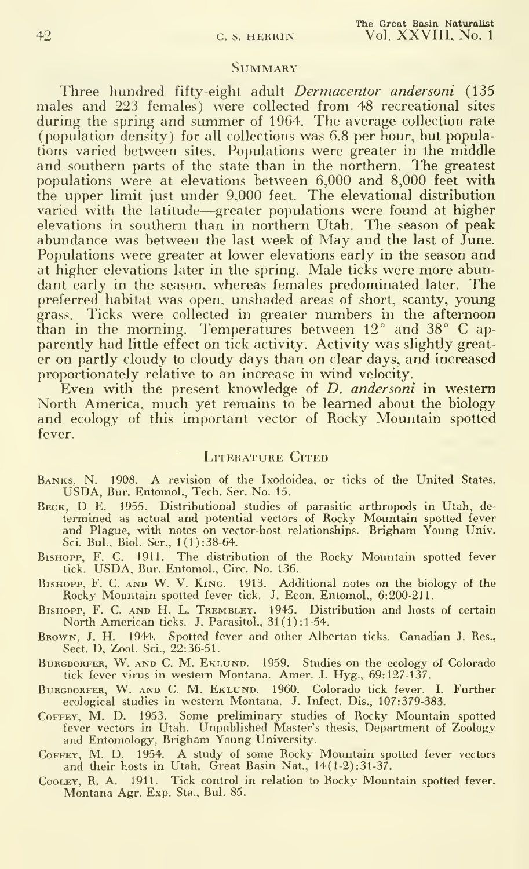#### **SUMMARY**

Three hundred fifty-eight adult *Dermacentor andersoni* (135 males and 223 females) were collected from 48 recreational sites during the spring and summer of 1964. The average collection rate (population density) for all collections was 6.8 per hour, but populations varied between sites. Populations were greater in the middle and southern parts of the state than in the northern. The greatest populations were at elevations between 6,000 and 8,000 feet with the upper limit iust under 9,000 feet. The elevational distribution varied with the latitude—greater populations were found at higher elevations in southern than in northern Utah. The season of peak abundance was between the last week of May and the last of June. Populations were greater at lower elevations early in the season and at higher elevations later in the spring. Male ticks were more abundant early in the season, whereas females predominated later. The preferred habitat was open, unshaded areas of short, scanty, young grass. Ticks were collected in greater numbers in the afternoon than in the morning. Temperatures between 12° and 38° C ap parently had little effect on tick activity. Activity was slightly great er on partly cloudy to cloudy days than on clear days, and increased proportionately relative to an increase in wind velocity.

Even with the present knowledge of *D. andersoni* in western North America, much yet remains to be learned about the biology and ecology of this important vector of Rocky Mountain spotted fever.

### LITERATURE CITED

- Banks, N. 1908. <sup>A</sup> revision of the Ixodoidea, or ticks of the United States, USDA, Bur. Entomol., Tech. Ser. No. 15.
- Beck, D E. 1955. Distributional studies of parasitic arthropods in Utah, de termined as actual and potential vectors of Rocky Mountain spotted fever and Plague, with notes on vector-host relationships. Brigham Young Univ. Sci. Bui., Biol. Ser., l(l):38-64.
- BisHOPP, F. C. 1911. The distribution of the Rocky Mountain spotted fever tick. USDA, Bur. Entomol., Circ. No. 136.
- BisHopp, F. C. AND W. V. King. 1913. Additional notes on the biology of the Rocky Mountain spottetl fever tick. J. Econ. Entomol., 6:200-211.
- BisHOPP, F. C. AND H. L. Trembley. 1945. Distribution and hosts of certain North American ticks. J. Parasitol., 31(1): 1-54.
- Brown, J. H. 1944. Spotted fever and other Albertan ticks. Canadian J. Res., Sect. D, Zool. Sci., 22:36-51.
- BURGDORFER, W. AND C. M. EKLUND. 1959. Studies on the ecology of Colorado tick fever virus in western Montana. Amer. J. Hyg., 69:127-137.
- Burgdorfer, W. And C. M. Ektund. 1960. Colorado tick fever. I. Further ecological studies in western Montana. J. Infect. Dis., 107:379-383.
- COFFEY, M. D. 1953. Some preliminary studies of Rocky Mountain spotted fever vectors in Utah. Unpublished Master's thesis. Department of Zoology and Entomology, Brigham Young University.
- COFFEY, M. D. 1954. A study of some Rocky Mountain spotted fever vectors and their hosts in Utah. Great Basin Nat., 14(1-2):31-37.
- Cooley, R. a. 1911. Tick control in relation to Rocky Mountain spotted fever. Montana Agr. Exp. Sta., Bui. 85.